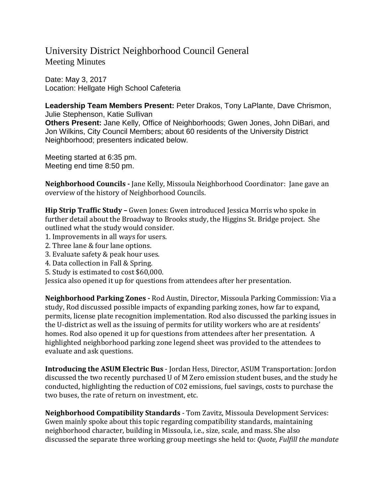# University District Neighborhood Council General Meeting Minutes

Date: May 3, 2017 Location: Hellgate High School Cafeteria

**Leadership Team Members Present:** Peter Drakos, Tony LaPlante, Dave Chrismon, Julie Stephenson, Katie Sullivan **Others Present:** Jane Kelly, Office of Neighborhoods; Gwen Jones, John DiBari, and Jon Wilkins, City Council Members; about 60 residents of the University District Neighborhood; presenters indicated below.

Meeting started at 6:35 pm. Meeting end time 8:50 pm.

**Neighborhood Councils -** Jane Kelly, Missoula Neighborhood Coordinator: Jane gave an overview of the history of Neighborhood Councils.

**Hip Strip Traffic Study –** Gwen Jones: Gwen introduced Jessica Morris who spoke in further detail about the Broadway to Brooks study, the Higgins St. Bridge project. She outlined what the study would consider.

- 1. Improvements in all ways for users.
- 2. Three lane & four lane options.
- 3. Evaluate safety & peak hour uses.
- 4. Data collection in Fall & Spring.
- 5. Study is estimated to cost \$60,000.

Jessica also opened it up for questions from attendees after her presentation.

**Neighborhood Parking Zones -** Rod Austin, Director, Missoula Parking Commission: Via a study, Rod discussed possible impacts of expanding parking zones, how far to expand, permits, license plate recognition implementation. Rod also discussed the parking issues in the U-district as well as the issuing of permits for utility workers who are at residents' homes. Rod also opened it up for questions from attendees after her presentation. A highlighted neighborhood parking zone legend sheet was provided to the attendees to evaluate and ask questions.

**Introducing the ASUM Electric Bus** - Jordan Hess, Director, ASUM Transportation: Jordon discussed the two recently purchased U of M Zero emission student buses, and the study he conducted, highlighting the reduction of C02 emissions, fuel savings, costs to purchase the two buses, the rate of return on investment, etc.

**Neighborhood Compatibility Standards** - Tom Zavitz, Missoula Development Services: Gwen mainly spoke about this topic regarding compatibility standards, maintaining neighborhood character, building in Missoula, i.e., size, scale, and mass. She also discussed the separate three working group meetings she held to: *Quote, Fulfill the mandate*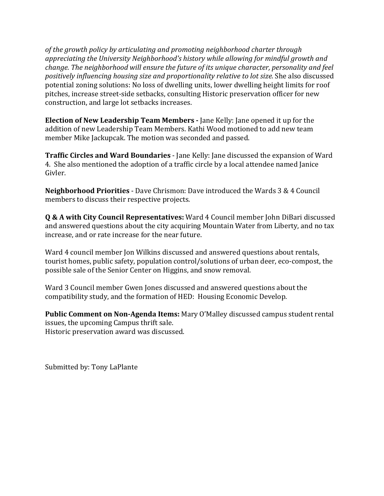*of the growth policy by articulating and promoting neighborhood charter through appreciating the University Neighborhood's history while allowing for mindful growth and change. The neighborhood will ensure the future of its unique character, personality and feel positively influencing housing size and proportionality relative to lot size.* She also discussed potential zoning solutions: No loss of dwelling units, lower dwelling height limits for roof pitches, increase street-side setbacks, consulting Historic preservation officer for new construction, and large lot setbacks increases.

**Election of New Leadership Team Members -** Jane Kelly: Jane opened it up for the addition of new Leadership Team Members. Kathi Wood motioned to add new team member Mike Jackupcak. The motion was seconded and passed.

**Traffic Circles and Ward Boundaries** - Jane Kelly: Jane discussed the expansion of Ward 4. She also mentioned the adoption of a traffic circle by a local attendee named Janice Givler.

**Neighborhood Priorities** - Dave Chrismon: Dave introduced the Wards 3 & 4 Council members to discuss their respective projects.

**Q & A with City Council Representatives:** Ward 4 Council member John DiBari discussed and answered questions about the city acquiring Mountain Water from Liberty, and no tax increase, and or rate increase for the near future.

Ward 4 council member Jon Wilkins discussed and answered questions about rentals, tourist homes, public safety, population control/solutions of urban deer, eco-compost, the possible sale of the Senior Center on Higgins, and snow removal.

Ward 3 Council member Gwen Jones discussed and answered questions about the compatibility study, and the formation of HED: Housing Economic Develop.

**Public Comment on Non-Agenda Items:** Mary O'Malley discussed campus student rental issues, the upcoming Campus thrift sale. Historic preservation award was discussed.

Submitted by: Tony LaPlante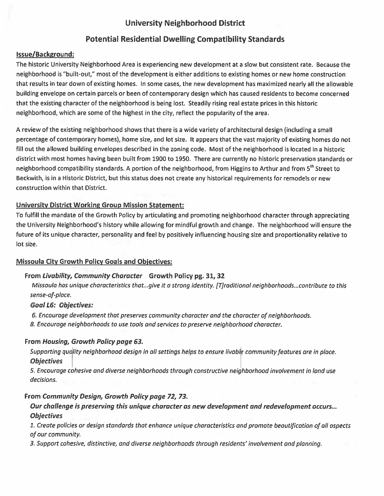## University Neighborhood District

## Potential Residential Dwelling Compatibility Standards

### Issue/Background:

The historic University Neighborhood Area is experiencing new development at <sup>a</sup> slow but consistent rate. Because the neighborhood is "built-out," most of the development is either additions to existing homes or new home construction that results in tear down of existing homes. In some cases, the new development has maximized nearly all the allowable building envelope on certain parcels or been of contemporary design which has caused residents to become concerned that the existing character of the neighborhood is being lost. Steadily rising real estate prices in this historic neighborhood, which are some of the highest in the city, reflect the popularity of the area.

A review of the existing neighborhood shows that there is <sup>a</sup> wide variety of architectural design (including <sup>a</sup> small percentage of contemporary homes), home size, and lot size. It appears that the vast majority of existing homes do not fill out the allowed building envelopes described in the zoning code. Most of the neighborhood is located in <sup>a</sup> historic district with most homes having been built from 1900 to 1950. There are currently no historic preservation standards or neighborhood compatibility standards. A portion of the neighborhood, from Higgins to Arthur and from 5<sup>th</sup> Street to Beckwith, is in <sup>a</sup> Historic District, but this status does not create any historical requirements for remodels or new construction within that District.

#### University District Working Group Mission Statement:

To fulfill the mandate of the Growth Policy by articulating and promoting neighborhood character through appreciating the University Neighborhood's history while allowing for mindful growth and change. The neighborhood will ensure the future of its unique character, personality and feel by positively influencing housing size and proportionality relative to lot size.

#### Missoula City Growth Policy Goals and Objectives:

#### From Livability, Community Character Growth Policy pg. 31, 32

Missoula hos unique characteristics that...give it <sup>a</sup> strong identity. [T]raditional neighborhoods... contribute to this sense-of-place.

#### Goal L6: Objectives:

6. Encouroge development that preserves community character and the character of neighborhoods.

8. Encourage neighborhoods to use tools and services to preserve neighborhood chorocter.

#### From Housing, Growth Policy page 63.

Supporting quality neighborhood design in all settings helps to ensure livable community features are in place. **Objectives** 

S. Encourage cohesive and diverse neighborhoods through constructive neighborhood involvement in land use decisions.

### From Community Design, Growth Policy page 72, 73.

### Our challenge is preserving this unique character as new development and redevelopment occurs... **Objectives**

1. Create policies or design standards that enhance unique characteristics and promote beautification of all aspects of our community.

3. Support cohesive, distinctive, and diverse neighborhoods through residents' involvement and planning.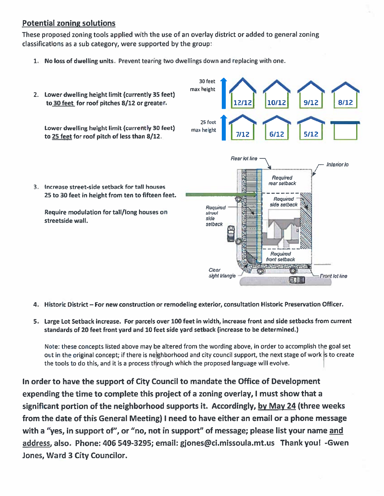## **Potential zoning solutions**

These propose<sup>d</sup> zoning tools applied with the use of an overlay district or added to genera<sup>l</sup> zoning classifications as a sub category, were supported by the group:

1. No loss of dwelling units. Prevent tearing two dwellings down and replacing with one.



- 4. Historic District For new construction or remodeling exterior, consultation Historic Preservation Officer.
- 5. Large Lot Setback increase. For parcels over 100 feet in width, increase front and side setbacks from current standards of 20 feet front yard and 10 feet side yard setback (increase to be determined.)

Note: these concepts listed above may be altered from the wording above, in order to accomplish the goal set out in the original concept; if there is neighborhood and city council support, the next stage of work is to create the tools to do this, and it is <sup>a</sup> process through which the proposed language will evolve. <sup>I</sup>

In order to have the suppor<sup>t</sup> of City Council to mandate the Office of Development expending the time to complete this project of <sup>a</sup> zoning overlay, I must show that <sup>a</sup> significant portion of the neighborhood supports it. Accordingly, by May 24 (three weeks from the date of this General Meeting) I need to have either an email or <sup>a</sup> phone message with a "yes, in support of", or "no, not in support" of message; please list your name and address, also. Phone: 406 549-3295; email: gjones@ci.missoula.mt.us Thank you! -Gwen Jones, Ward 3 City Councilor.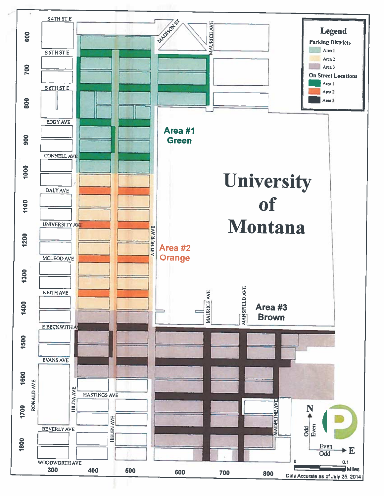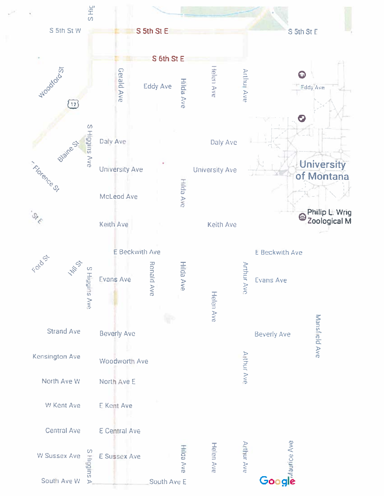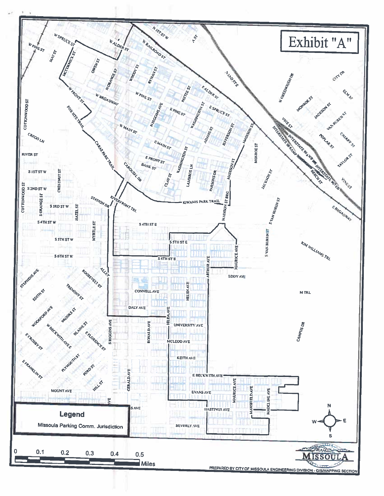